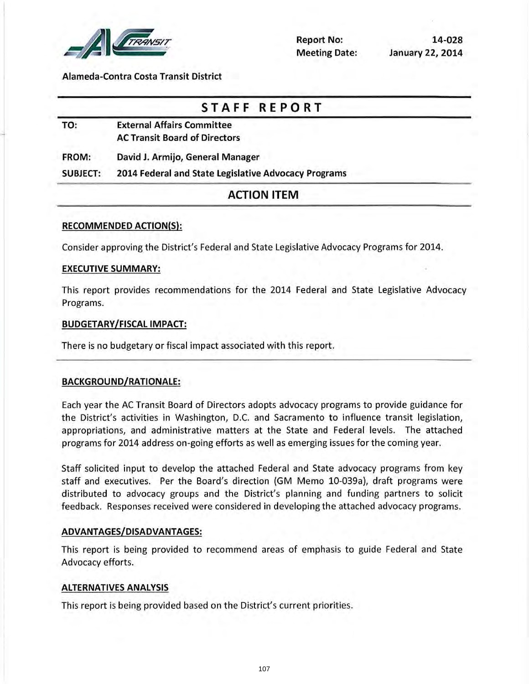

**Alameda-Contra Costa Transit District** 

# **STAFF REPORT**

**TO: External Affairs Committee AC Transit Board of Directors** 

**FROM: David J. Armijo, General Manager** 

**SUBJECT: 2014 Federal and State Legislative Advocacy Programs** 

## **ACTION ITEM**

### **RECOMMENDED ACTION(S):**

Consider approving the District's Federal and State Legislative Advocacy Programs for 2014.

### **EXECUTIVE SUMMARY:**

This report provides recommendations for the 2014 Federal and State Legislative Advocacy Programs.

#### **BUDGETARY/FISCAL IMPACT:**

There is no budgetary or fiscal impact associated with this report.

### **BACKGROUND/RATIONALE:**

Each year the AC Transit Board of Directors adopts advocacy programs to provide guidance for the District's activities in Washington, D.C. and Sacramento to influence transit legislation, appropriations, and administrative matters at the State and Federal levels. The attached programs for 2014 address on-going efforts as well as emerging issues for the coming year.

Staff solicited input to develop the attached Federal and State advocacy programs from key staff and executives. Per the Board's direction (GM Memo 10-039a), draft programs were distributed to advocacy groups and the District's planning and funding partners to solicit feedback. Responses received were considered in developing the attached advocacy programs.

### **ADVANTAGES/DISADVANTAGES:**

This report is being provided to recommend areas of emphasis to guide Federal and State Advocacy efforts.

### **ALTERNATIVES ANALYSIS**

This report is being provided based on the District's current priorities.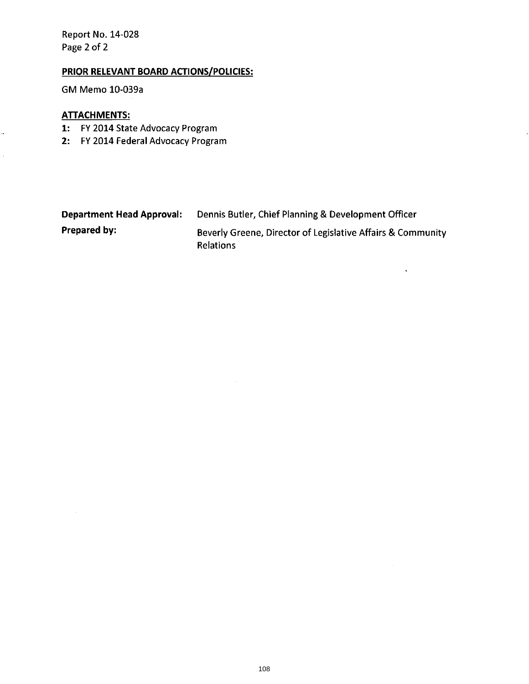Report No. 14-028 Page 2 of 2

### **PRIOR RELEVANT BOARD ACTIONS/POLICIES:**

GM Memo 10-039a

## **ATTACHMENTS:**

 $\overline{\phantom{a}}$ 

- **1:** FY 2014 State Advocacy Program
- 2: FY 2014 Federal Advocacy Program

| <b>Department Head Approval:</b> | Dennis Butler, Chief Planning & Development Officer                             |
|----------------------------------|---------------------------------------------------------------------------------|
| <b>Prepared by:</b>              | Beverly Greene, Director of Legislative Affairs & Community<br><b>Relations</b> |

 $\chi^2$ 

 $\bar{z}$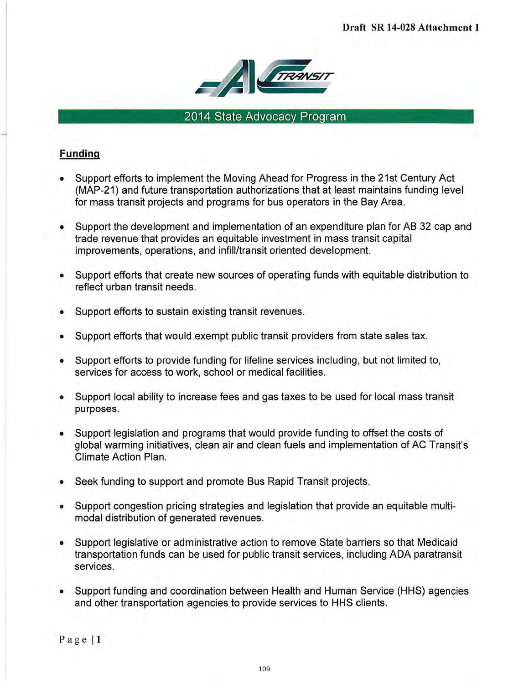

# 2014 State Advocacy Program

## **Funding**

- Support efforts to implement the Moving Ahead for Progress in the 21st Century Act (MAP-21) and future transportation authorizations that at least maintains funding level for mass transit projects and programs for bus operators in the Bay Area.
- Support the development and implementation of an expenditure plan for AB 32 cap and trade revenue that provides an equitable investment in mass transit capital improvements, operations, and infill/transit oriented development.
- Support efforts that create new sources of operating funds with equitable distribution to reflect urban transit needs.
- Support efforts to sustain existing transit revenues.
- Support efforts that would exempt public transit providers from state sales tax.
- Support efforts to provide funding for lifeline services including, but not limited to, services for access to work, school or medical facilities.
- Support local ability to increase fees and gas taxes to be used for local mass transit purposes.
- Support legislation and programs that would provide funding to offset the costs of global warming initiatives, clean air and clean fuels and implementation of AC Transit's Climate Action Plan.
- Seek funding to support and promote Bus Rapid Transit projects.
- Support congestion pricing strategies and legislation that provide an equitable multimodal distribution of generated revenues.
- Support legislative or administrative action to remove State barriers so that Medicaid transportation funds can be used for public transit services, including ADA paratransit services.
- Support funding and coordination between Health and Human Service (HHS) agencies and other transportation agencies to provide services to HHS clients.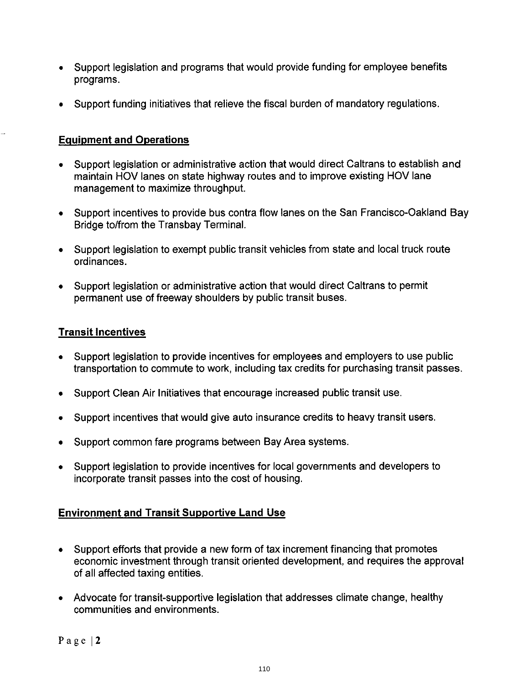- Support legislation and programs that would provide funding for employee benefits programs.
- Support funding initiatives that relieve the fiscal burden of mandatory regulations.

## **Equipment and Operations**

- Support legislation or administrative action that would direct Caltrans to establish and maintain HOV lanes on state highway routes and to improve existing HOV lane management to maximize throughput.
- Support incentives to provide bus contra flow lanes on the San Francisco-Oakland Bay Bridge to/from the Transbay Terminal.
- Support legislation to exempt public transit vehicles from state and local truck route ordinances.
- Support legislation or administrative action that would direct Caltrans to permit permanent use of freeway shoulders by public transit buses.

# **Transit Incentives**

- Support legislation to provide incentives for employees and employers to use public transportation to commute to work, including tax credits for purchasing transit passes.
- Support Clean Air Initiatives that encourage increased public transit use.
- Support incentives that would give auto insurance credits to heavy transit users.
- Support common fare programs between Bay Area systems.
- Support legislation to provide incentives for local governments and developers to incorporate transit passes into the cost of housing.

## **Environment and Transit Supportive Land Use**

- Support efforts that provide a new form of tax increment financing that promotes economic investment through transit oriented development, and requires the approval of all affected taxing entities.
- Advocate for transit-supportive legislation that addresses climate change, healthy communities and environments.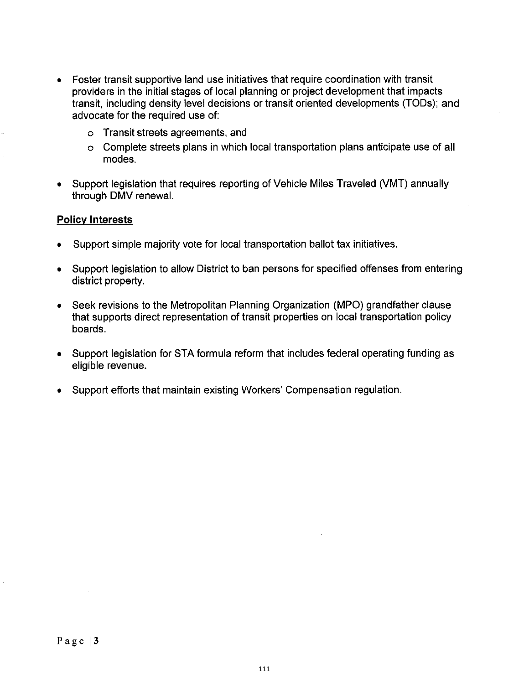- Foster transit supportive land use initiatives that require coordination with transit providers in the initial stages of local planning or project development that impacts transit, including density level decisions or transit oriented developments (TODs); and advocate for the required use of:
	- o Transit streets agreements, and
	- o Complete streets plans in which local transportation plans anticipate use of all modes.
- Support legislation that requires reporting of Vehicle Miles Traveled (VMT) annually through DMV renewal.

### **Policy Interests**

- Support simple majority vote for local transportation ballot tax initiatives.
- Support legislation to allow District to ban persons for specified offenses from entering district property.
- Seek revisions to the Metropolitan Planning Organization (MPO) grandfather clause that supports direct representation of transit properties on local transportation policy boards.
- Support legislation for STA formula reform that includes federal operating funding as eligible revenue.
- Support efforts that maintain existing Workers' Compensation regulation.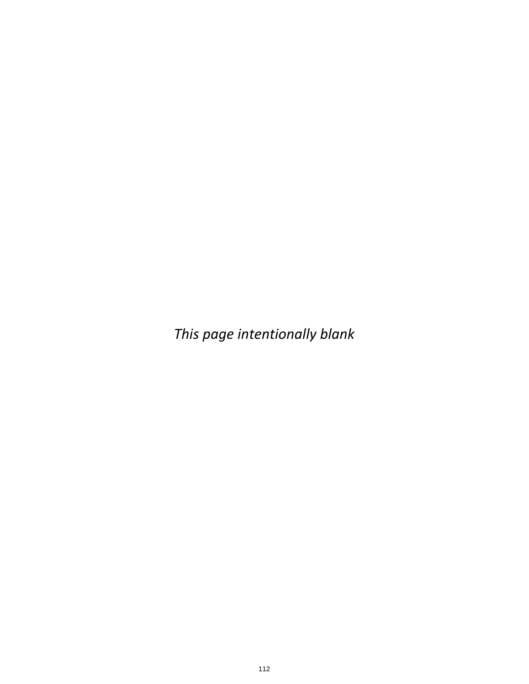*This page intentionally blank*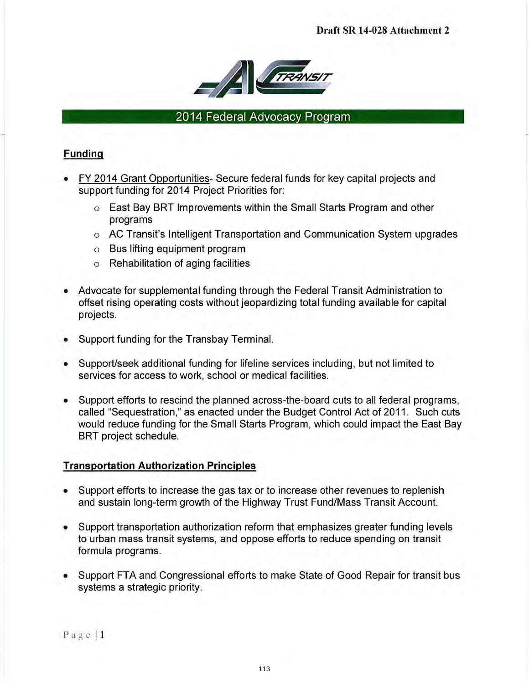

# 2014 Federal Advocacy Program

## **Funding**

- FY 2014 Grant Opportunities- Secure federal funds for key capital projects and support funding for 2014 Project Priorities for:
	- o East Bay BRT Improvements within the Small Starts Program and other programs
	- o AC Transit's Intelligent Transportation and Communication System upgrades
	- o Bus lifting equipment program
	- o Rehabilitation of aging facilities
- Advocate for supplemental funding through the Federal Transit Administration to offset rising operating costs without jeopardizing total funding available for capital projects.
- Support funding for the Transbay Terminal.
- Support/seek additional funding for lifeline services including, but not limited to services for access to work, school or medical facilities.
- Support efforts to rescind the planned across-the-board cuts to all federal programs, called "Sequestration," as enacted under the Budget Control Act of 2011 . Such cuts would reduce funding for the Small Starts Program, which could impact the East Bay BRT project schedule.

## **Transportation Authorization Principles**

- Support efforts to increase the gas tax or to increase other revenues to replenish and sustain long-term growth of the Highway Trust Fund/Mass Transit Account.
- Support transportation authorization reform that emphasizes greater funding levels to urban mass transit systems, and oppose efforts to reduce spending on transit formula programs.
- Support FTA and Congressional efforts to make State of Good Repair for transit bus systems a strategic priority.